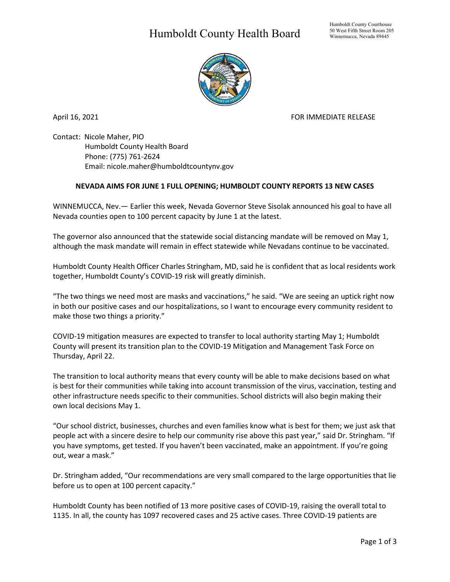## Humboldt County Health Board



April 16, 2021 **FOR IMMEDIATE RELEASE** 

Contact: Nicole Maher, PIO Humboldt County Health Board Phone: (775) 761-2624 Email: nicole.maher@humboldtcountynv.gov

## **NEVADA AIMS FOR JUNE 1 FULL OPENING; HUMBOLDT COUNTY REPORTS 13 NEW CASES**

WINNEMUCCA, Nev.— Earlier this week, Nevada Governor Steve Sisolak announced his goal to have all Nevada counties open to 100 percent capacity by June 1 at the latest.

The governor also announced that the statewide social distancing mandate will be removed on May 1, although the mask mandate will remain in effect statewide while Nevadans continue to be vaccinated.

Humboldt County Health Officer Charles Stringham, MD, said he is confident that as local residents work together, Humboldt County's COVID-19 risk will greatly diminish.

"The two things we need most are masks and vaccinations," he said. "We are seeing an uptick right now in both our positive cases and our hospitalizations, so I want to encourage every community resident to make those two things a priority."

COVID-19 mitigation measures are expected to transfer to local authority starting May 1; Humboldt County will present its transition plan to the COVID-19 Mitigation and Management Task Force on Thursday, April 22.

The transition to local authority means that every county will be able to make decisions based on what is best for their communities while taking into account transmission of the virus, vaccination, testing and other infrastructure needs specific to their communities. School districts will also begin making their own local decisions May 1.

"Our school district, businesses, churches and even families know what is best for them; we just ask that people act with a sincere desire to help our community rise above this past year," said Dr. Stringham. "If you have symptoms, get tested. If you haven't been vaccinated, make an appointment. If you're going out, wear a mask."

Dr. Stringham added, "Our recommendations are very small compared to the large opportunities that lie before us to open at 100 percent capacity."

Humboldt County has been notified of 13 more positive cases of COVID-19, raising the overall total to 1135. In all, the county has 1097 recovered cases and 25 active cases. Three COVID-19 patients are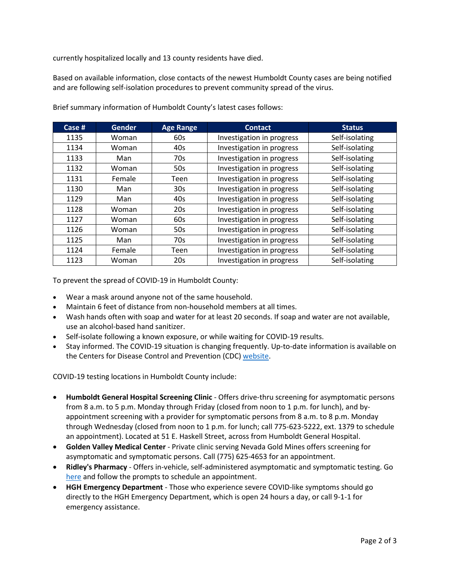currently hospitalized locally and 13 county residents have died.

Based on available information, close contacts of the newest Humboldt County cases are being notified and are following self-isolation procedures to prevent community spread of the virus.

| Case # | <b>Gender</b> | <b>Age Range</b> | <b>Contact</b>            | <b>Status</b>  |
|--------|---------------|------------------|---------------------------|----------------|
| 1135   | Woman         | 60s              | Investigation in progress | Self-isolating |
| 1134   | Woman         | 40s              | Investigation in progress | Self-isolating |
| 1133   | Man           | 70s              | Investigation in progress | Self-isolating |
| 1132   | Woman         | 50s              | Investigation in progress | Self-isolating |
| 1131   | Female        | Teen             | Investigation in progress | Self-isolating |
| 1130   | Man           | 30 <sub>s</sub>  | Investigation in progress | Self-isolating |
| 1129   | Man           | 40s              | Investigation in progress | Self-isolating |
| 1128   | Woman         | 20 <sub>s</sub>  | Investigation in progress | Self-isolating |
| 1127   | Woman         | 60s              | Investigation in progress | Self-isolating |
| 1126   | Woman         | 50s              | Investigation in progress | Self-isolating |
| 1125   | Man           | 70s              | Investigation in progress | Self-isolating |
| 1124   | Female        | <b>Teen</b>      | Investigation in progress | Self-isolating |
| 1123   | Woman         | 20s              | Investigation in progress | Self-isolating |

Brief summary information of Humboldt County's latest cases follows:

To prevent the spread of COVID-19 in Humboldt County:

- Wear a mask around anyone not of the same household.
- Maintain 6 feet of distance from non-household members at all times.
- Wash hands often with soap and water for at least 20 seconds. If soap and water are not available, use an alcohol-based hand sanitizer.
- Self-isolate following a known exposure, or while waiting for COVID-19 results.
- Stay informed. The COVID-19 situation is changing frequently. Up-to-date information is available on the Centers for Disease Control and Prevention (CDC) [website.](http://www.cdc.gov/coronavirus/2019-ncov/index.html)

COVID-19 testing locations in Humboldt County include:

- **Humboldt General Hospital Screening Clinic** Offers drive-thru screening for asymptomatic persons from 8 a.m. to 5 p.m. Monday through Friday (closed from noon to 1 p.m. for lunch), and byappointment screening with a provider for symptomatic persons from 8 a.m. to 8 p.m. Monday through Wednesday (closed from noon to 1 p.m. for lunch; call 775-623-5222, ext. 1379 to schedule an appointment). Located at 51 E. Haskell Street, across from Humboldt General Hospital.
- **Golden Valley Medical Center** Private clinic serving Nevada Gold Mines offers screening for asymptomatic and symptomatic persons. Call (775) 625-4653 for an appointment.
- **Ridley's Pharmacy** Offers in-vehicle, self-administered asymptomatic and symptomatic testing. Go [here](https://www.doineedacovid19test.com/Winnemucca_NV_1098.html) and follow the prompts to schedule an appointment.
- **HGH Emergency Department**  Those who experience severe COVID-like symptoms should go directly to the HGH Emergency Department, which is open 24 hours a day, or call 9-1-1 for emergency assistance.